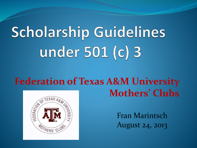# **Scholarship Guidelines** under 501 (c) 3

#### **Federation of Texas A&M University Mothers' Clubs**



Fran Marintsch August 24, 2013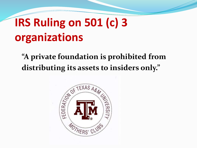#### **IRS Ruling on 501 (c) 3 organizations**

**"A private foundation is prohibited from distributing its assets to insiders only."**

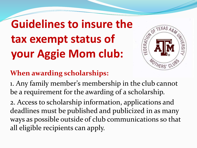**Guidelines to insure the tax exempt status of your Aggie Mom club:**



#### **When awarding scholarships:**

1. Any family member's membership in the club cannot be a requirement for the awarding of a scholarship.

2. Access to scholarship information, applications and deadlines must be published and publicized in as many ways as possible outside of club communications so that all eligible recipients can apply.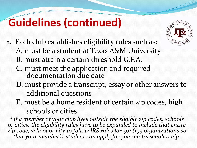#### **Guidelines (continued)**

- 3. Each club establishes eligibility rules such as:
	- A. must be a student at Texas A&M University
	- B. must attain a certain threshold G.P.A.
	- C. must meet the application and required documentation due date
	- D. must provide a transcript, essay or other answers to additional questions
	- E. must be a home resident of certain zip codes, high schools or cities

*\* If a member of your club lives outside the eligible zip codes, schools or cities, the eligibility rules have to be expanded to include that entire zip code, school or city to follow IRS rules for 501 (c)3 organizations so that your member's student can apply for your club's scholarship.*

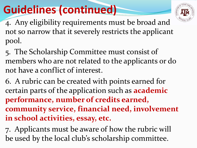#### **Guidelines (continued)**



4. Any eligibility requirements must be broad and not so narrow that it severely restricts the applicant pool.

5. The Scholarship Committee must consist of members who are not related to the applicants or do not have a conflict of interest.

6. A rubric can be created with points earned for certain parts of the application such as **academic performance, number of credits earned, community service, financial need, involvement in school activities, essay, etc.** 

7. Applicants must be aware of how the rubric will be used by the local club's scholarship committee.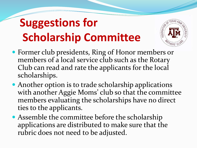### **Suggestions for Scholarship Committee**



- Former club presidents, Ring of Honor members or members of a local service club such as the Rotary Club can read and rate the applicants for the local scholarships.
- Another option is to trade scholarship applications with another Aggie Moms' club so that the committee members evaluating the scholarships have no direct ties to the applicants.
- Assemble the committee before the scholarship applications are distributed to make sure that the rubric does not need to be adjusted.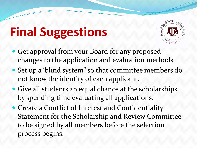## **Final Suggestions**



- Get approval from your Board for any proposed changes to the application and evaluation methods.
- Set up a 'blind system" so that committee members do not know the identity of each applicant.
- Give all students an equal chance at the scholarships by spending time evaluating all applications.
- Create a Conflict of Interest and Confidentiality Statement for the Scholarship and Review Committee to be signed by all members before the selection process begins.